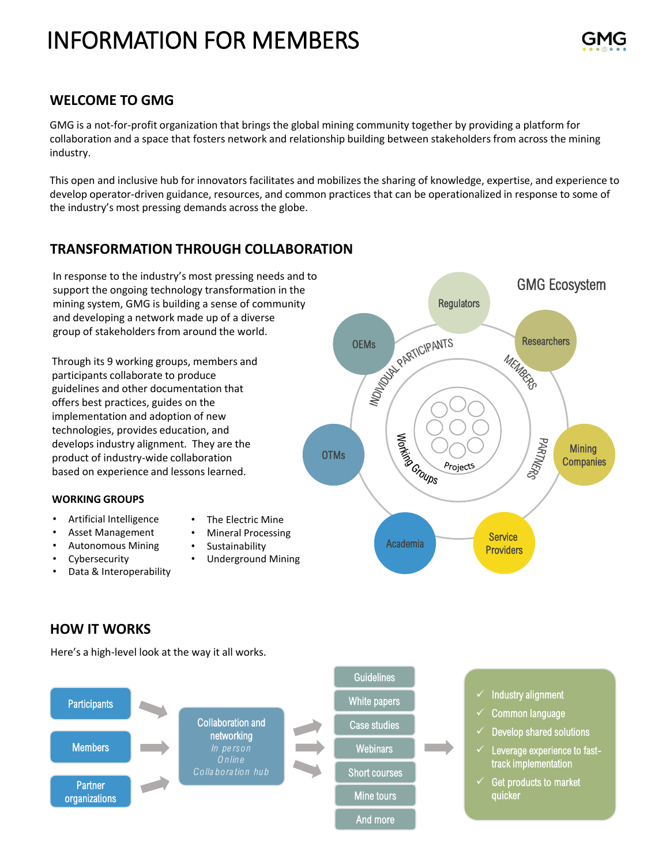# INFORMATION FOR MEMBERS

# **WELCOME TO GMG**

GMG is a not-for-profit organization that brings the global mining community together by providing a platform for collaboration and a space that fosters network and relationship building between stakeholders from across the mining industry.

This open and inclusive hub for innovators facilitates and mobilizes the sharing of knowledge, expertise, and experience to develop operator-driven guidance, resources, and common practices that can be operationalized in response to some of the industry's most pressing demands across the globe.

# **TRANSFORMATION THROUGH COLLABORATION**

In response to the industry's most pressing needs and to support the ongoing technology transformation in the mining system, GMG is building a sense of community and developing a network made up of a diverse group of stakeholders from around the world.

Through its 9 working groups, members and participants collaborate to produce guidelines and other documentation that offers best practices, guides on the implementation and adoption of new technologies, provides education, and develops industry alignment. They are the product of industry-wide collaboration based on experience and lessons learned.

### **WORKING GROUPS**

- Artificial Intelligence
- The Electric Mine • Mineral Processing
- Asset Management • Autonomous Mining
- **Sustainability**

• Underground Mining

- Cybersecurity
- Data & Interoperability

GMG Ecosystem **Regulators** OEMS DEMONDER PARTICIPANTS Researchers<br>MEM<sub>AQ</sub> MINITARY CROWDS PARTNERS **Mining OTMs Companies** Projects **Service** Academia **Providers** 

# **HOW IT WORKS**

Here's a high-level look at the way it all works.

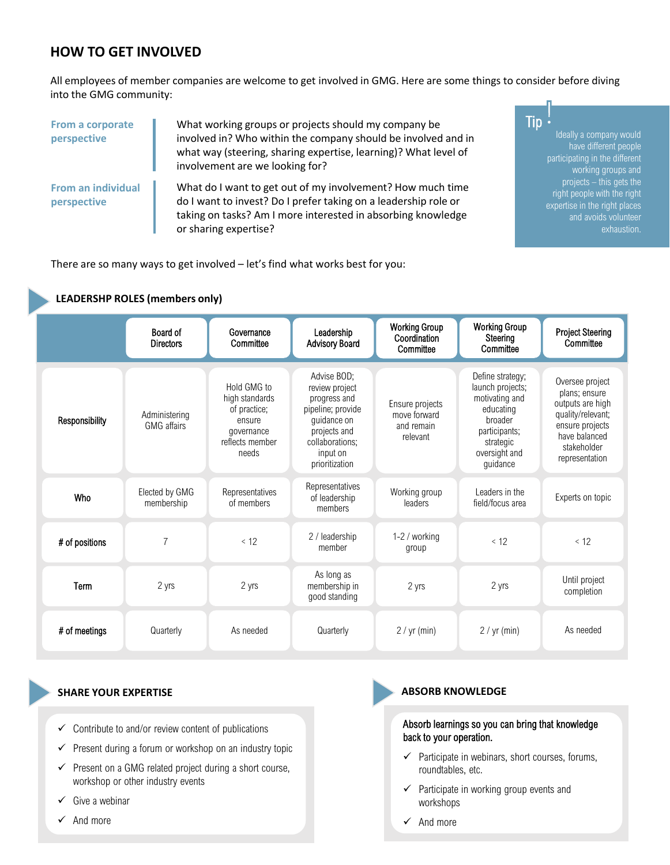# **HOW TO GET INVOLVED**

**LEADERSHP ROLES (members only)**

All employees of member companies are welcome to get involved in GMG. Here are some things to consider before diving into the GMG community:

| From a corporate<br>perspective          | What working groups or projects should my company be<br>involved in? Who within the company should be involved and in<br>what way (steering, sharing expertise, learning)? What level of<br>involvement are we looking for? |  |
|------------------------------------------|-----------------------------------------------------------------------------------------------------------------------------------------------------------------------------------------------------------------------------|--|
| <b>From an individual</b><br>perspective | What do I want to get out of my involvement? How much time<br>do I want to invest? Do I prefer taking on a leadership role or<br>taking on tasks? Am I more interested in absorbing knowledge<br>or sharing expertise?      |  |

Ideally a company would have different people participating in the different working groups and projects – this gets the right people with the right expertise in the right places and avoids volunteer exhaustion. Tip

There are so many ways to get involved – let's find what works best for you:

#### Responsibility **Administering** GMG affairs Hold GMG to high standards of practice; ensure governance reflects member needs Advise BOD; review project progress and pipeline; provide guidance on projects and collaborations; input on prioritization Ensure projects move forward and remain relevant Define strategy; launch projects; motivating and educating broader participants; strategic oversight and guidance Oversee project plans; ensure outputs are high quality/relevant; ensure projects have balanced stakeholder representation  $\#$  of positions  $\begin{array}{ccc} 7 & 2 \end{array}$  / leadership member 1-2 / working group  $< 12$   $< 12$ **Term** 2 yrs 2 yrs 2 yrs As long as membership in good standing 2 yrs 2 yrs Until project completion # of meetings | Quarterly As needed Quarterly | 2 / yr (min) 2 / yr (min) As needed Board of **Directors** Governance **Committee** Leadership Advisory Board Working Group Coordination **Committee** Working Group **Steering Committee** Project Steering **Committee** Who Elected by GMG membership Representatives of members Representatives of leadership members Working group leaders Leaders in the Experts on topic<br>field/focus area

### **SHARE YOUR EXPERTISE ABSORB KNOWLEDGE**

- $\checkmark$  Contribute to and/or review content of publications
- Present during a forum or workshop on an industry topic
- $\checkmark$  Present on a GMG related project during a short course, workshop or other industry events
- $\checkmark$  Give a webinar
- ✓ And more

#### Absorb learnings so you can bring that knowledge back to your operation.

- $\checkmark$  Participate in webinars, short courses, forums, roundtables, etc.
- $\checkmark$  Participate in working group events and workshops
- ✓ And more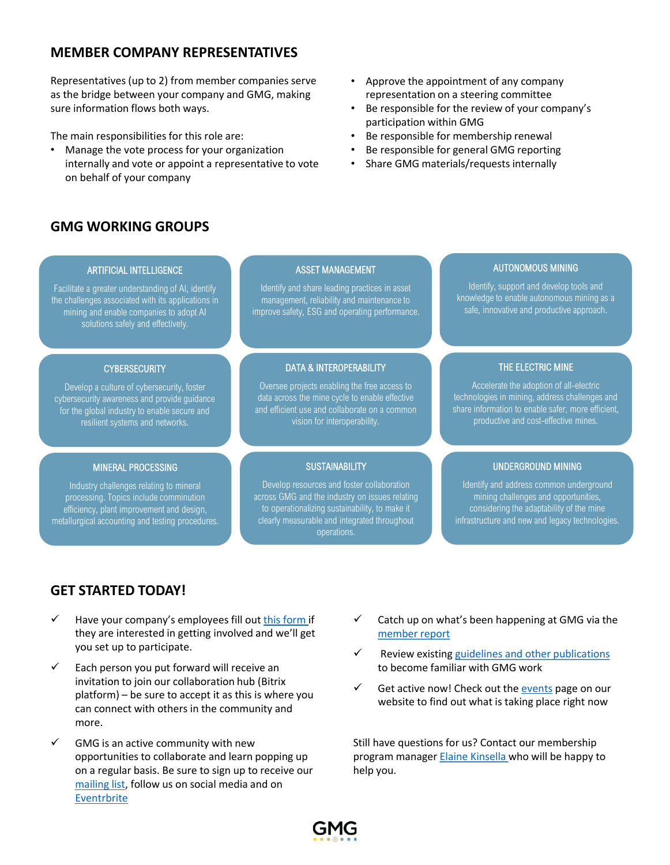# **MEMBER COMPANY REPRESENTATIVES**

Representatives (up to 2) from member companies serve as the bridge between your company and GMG, making sure information flows both ways.

The main responsibilities for this role are:

• Manage the vote process for your organization internally and vote or appoint a representative to vote on behalf of your company

# **GMG WORKING GROUPS**

#### • Approve the appointment of any company representation on a steering committee

- Be responsible for the review of your company's participation within GMG
- Be responsible for membership renewal
- Be responsible for general GMG reporting
- Share GMG materials/requests internally

#### ARTIFICIAL INTELLIGENCE

Facilitate a greater understanding of AI, identify the challenges associated with its applications in mining and enable companies to adopt AI solutions safely and effectively.

### **CYBERSECURITY**

Develop a culture of cybersecurity, foster cybersecurity awareness and provide guidance for the global industry to enable secure and resilient systems and networks.

### MINERAL PROCESSING

Industry challenges relating to mineral processing. Topics include comminution efficiency, plant improvement and design, metallurgical accounting and testing procedures.

#### ASSET MANAGEMENT

Identify and share leading practices in asset management, reliability and maintenance to improve safety, ESG and operating performance.

#### DATA & INTEROPERABILITY

Oversee projects enabling the free access to data across the mine cycle to enable effective and efficient use and collaborate on a common vision for interoperability.

### **SUSTAINABILITY**

Develop resources and foster collaboration across GMG and the industry on issues relating to operationalizing sustainability, to make it clearly measurable and integrated throughout operations.

### AUTONOMOUS MINING

Identify, support and develop tools and knowledge to enable autonomous mining as a safe, innovative and productive approach.

### THE ELECTRIC MINE

Accelerate the adoption of all-electric technologies in mining, address challenges and share information to enable safer, more efficient, productive and cost-effective mines.

### UNDERGROUND MINING

Identify and address common underground mining challenges and opportunities, considering the adaptability of the mine infrastructure and new and legacy technologies.

# **GET STARTED TODAY!**

- Have your company's employees fill out [this form](https://gmggroup.org/join-projects-working-groups/) if they are interested in getting involved and we'll get you set up to participate.
- $\checkmark$  Each person you put forward will receive an invitation to join our collaboration hub (Bitrix platform) – be sure to accept it as this is where you can connect with others in the community and more.
- $\checkmark$  GMG is an active community with new opportunities to collaborate and learn popping up on a regular basis. Be sure to sign up to receive our [mailing list](https://mailchi.mp/gmggroup/newslettersignup), follow us on social media and on [Eventrbrite](https://www.eventbrite.ca/o/global-mining-guidelines-group-gmg-28575873631)
- $\checkmark$  Catch up on what's been happening at GMG via the [member report](https://gmggroup.org/guidelines-and-publications/)
- Review existing guidelines and other publications to become familiar with GMG work
- Get active now! Check out the [events](https://gmggroup.org/event-directory/) page on our website to find out what is taking place right now

Still have questions for us? Contact our membership program manager [Elaine Kinsella](mailto:ekinsella@gmggroup.org) who will be happy to help you.